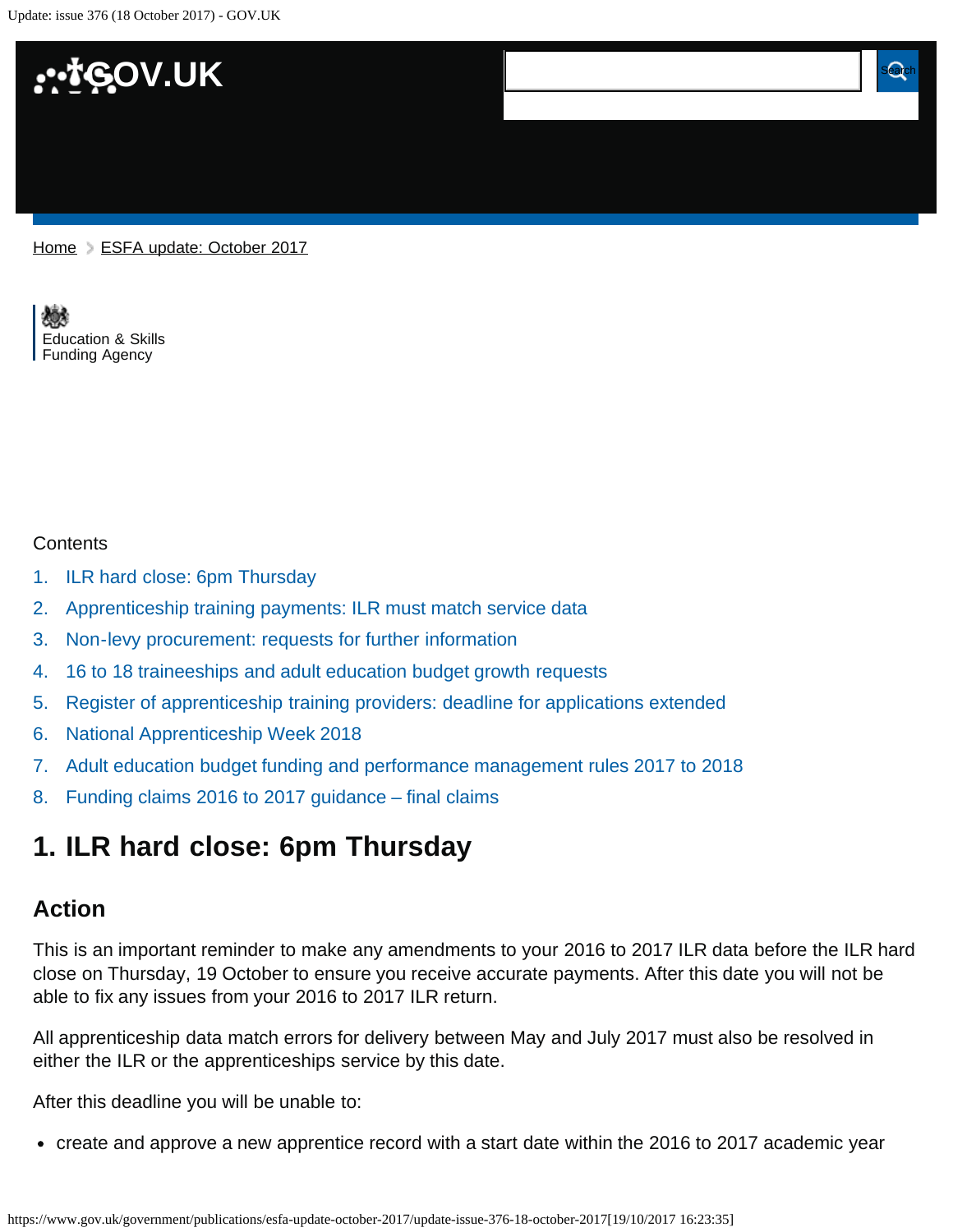Update: issue 376 (18 October 2017) - GOV.UK



[Home](https://www.gov.uk/) > [ESFA update: October 2017](https://www.gov.uk/government/publications/esfa-update-october-2017)

[Education & Skills](https://www.gov.uk/government/organisations/education-and-skills-funding-agency)  [Funding Agency](https://www.gov.uk/government/organisations/education-and-skills-funding-agency)

#### **Contents**

- [1.](#page-0-0) [ILR hard close: 6pm Thursday](#page-0-0)
- [2.](#page-1-0) [Apprenticeship training payments: ILR must match service data](#page-1-0)
- [3.](#page-1-1) [Non-levy procurement: requests for further information](#page-1-1)
- [4.](#page-1-2) [16 to 18 traineeships and adult education budget growth requests](#page-1-2)
- [5.](#page-2-0) [Register of apprenticeship training providers: deadline for applications extended](#page-2-0)
- [6.](#page-2-1) [National Apprenticeship Week 2018](#page-2-1)
- [7.](#page-3-0) [Adult education budget funding and performance management rules 2017 to 2018](#page-3-0)
- [8.](#page-3-1) [Funding claims 2016 to 2017 guidance final claims](#page-3-1)

## <span id="page-0-0"></span>**1. ILR hard close: 6pm Thursday**

#### **Action**

This is an important reminder to make any amendments to your 2016 to 2017 ILR data before the ILR hard close on Thursday, 19 October to ensure you receive accurate payments. After this date you will not be able to fix any issues from your 2016 to 2017 ILR return.

All apprenticeship data match errors for delivery between May and July 2017 must also be resolved in either the ILR or the apprenticeships service by this date.

After this deadline you will be unable to:

create and approve a new apprentice record with a start date within the 2016 to 2017 academic year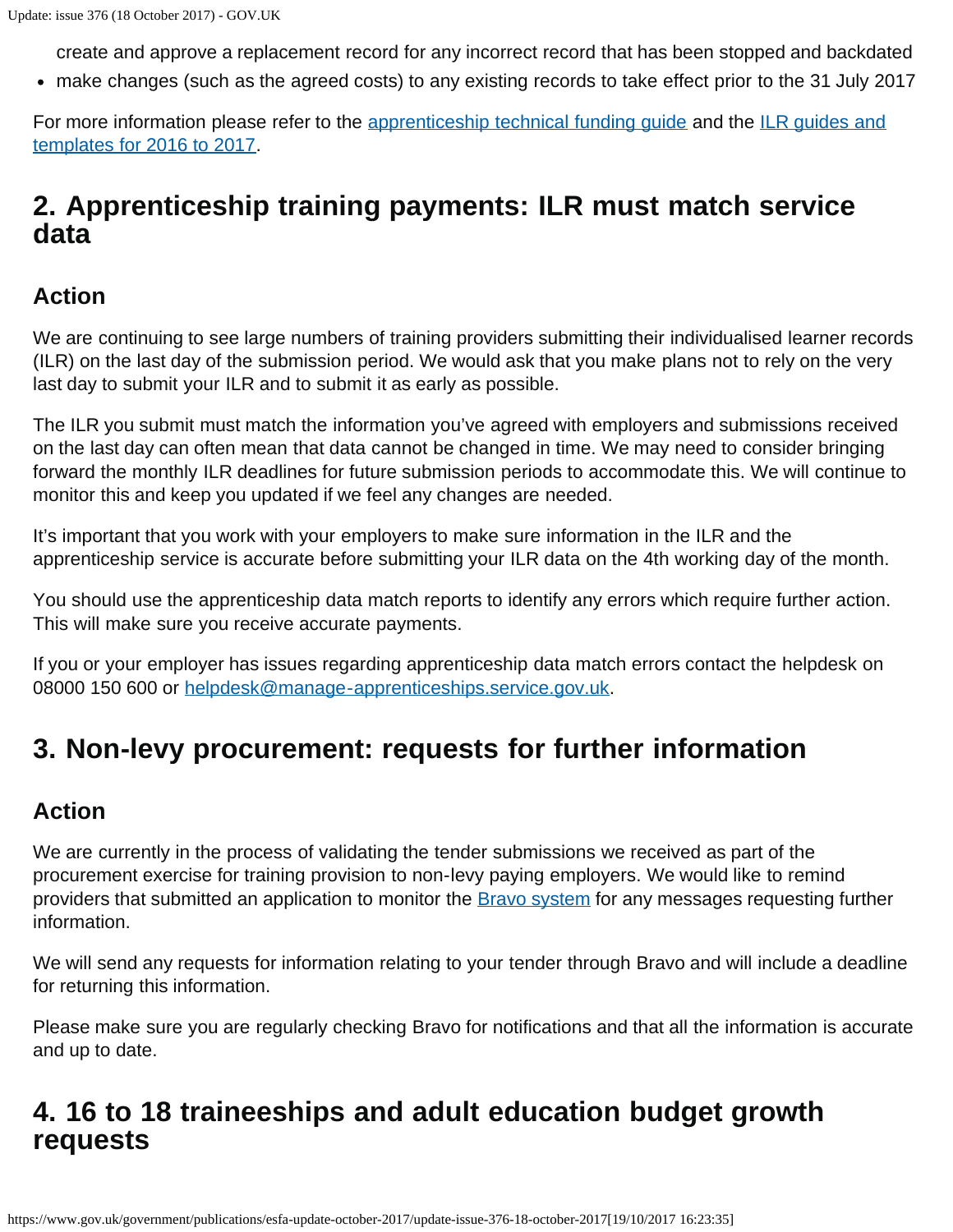create and approve a replacement record for any incorrect record that has been stopped and backdated

make changes (such as the agreed costs) to any existing records to take effect prior to the 31 July 2017

For more information please refer to the [apprenticeship technical funding guide](https://www.gov.uk/government/publications/apprenticeship-technical-funding-guide) and the [ILR guides and](https://www.gov.uk/government/publications/ilr-guides-and-templates-for-2016-to-2017) [templates for 2016 to 2017](https://www.gov.uk/government/publications/ilr-guides-and-templates-for-2016-to-2017).

# <span id="page-1-0"></span>**2. Apprenticeship training payments: ILR must match service data**

### **Action**

We are continuing to see large numbers of training providers submitting their individualised learner records (ILR) on the last day of the submission period. We would ask that you make plans not to rely on the very last day to submit your ILR and to submit it as early as possible.

The ILR you submit must match the information you've agreed with employers and submissions received on the last day can often mean that data cannot be changed in time. We may need to consider bringing forward the monthly ILR deadlines for future submission periods to accommodate this. We will continue to monitor this and keep you updated if we feel any changes are needed.

It's important that you work with your employers to make sure information in the ILR and the apprenticeship service is accurate before submitting your ILR data on the 4th working day of the month.

You should use the apprenticeship data match reports to identify any errors which require further action. This will make sure you receive accurate payments.

If you or your employer has issues regarding apprenticeship data match errors contact the helpdesk on 08000 150 600 or [helpdesk@manage-apprenticeships.service.gov.uk.](mailto:helpdesk@manage-apprenticeships.service.gov.uk)

# <span id="page-1-1"></span>**3. Non-levy procurement: requests for further information**

### **Action**

We are currently in the process of validating the tender submissions we received as part of the procurement exercise for training provision to non-levy paying employers. We would like to remind providers that submitted an application to monitor the **Bravo system** for any messages requesting further information.

We will send any requests for information relating to your tender through Bravo and will include a deadline for returning this information.

Please make sure you are regularly checking Bravo for notifications and that all the information is accurate and up to date.

# <span id="page-1-2"></span>**4. 16 to 18 traineeships and adult education budget growth requests**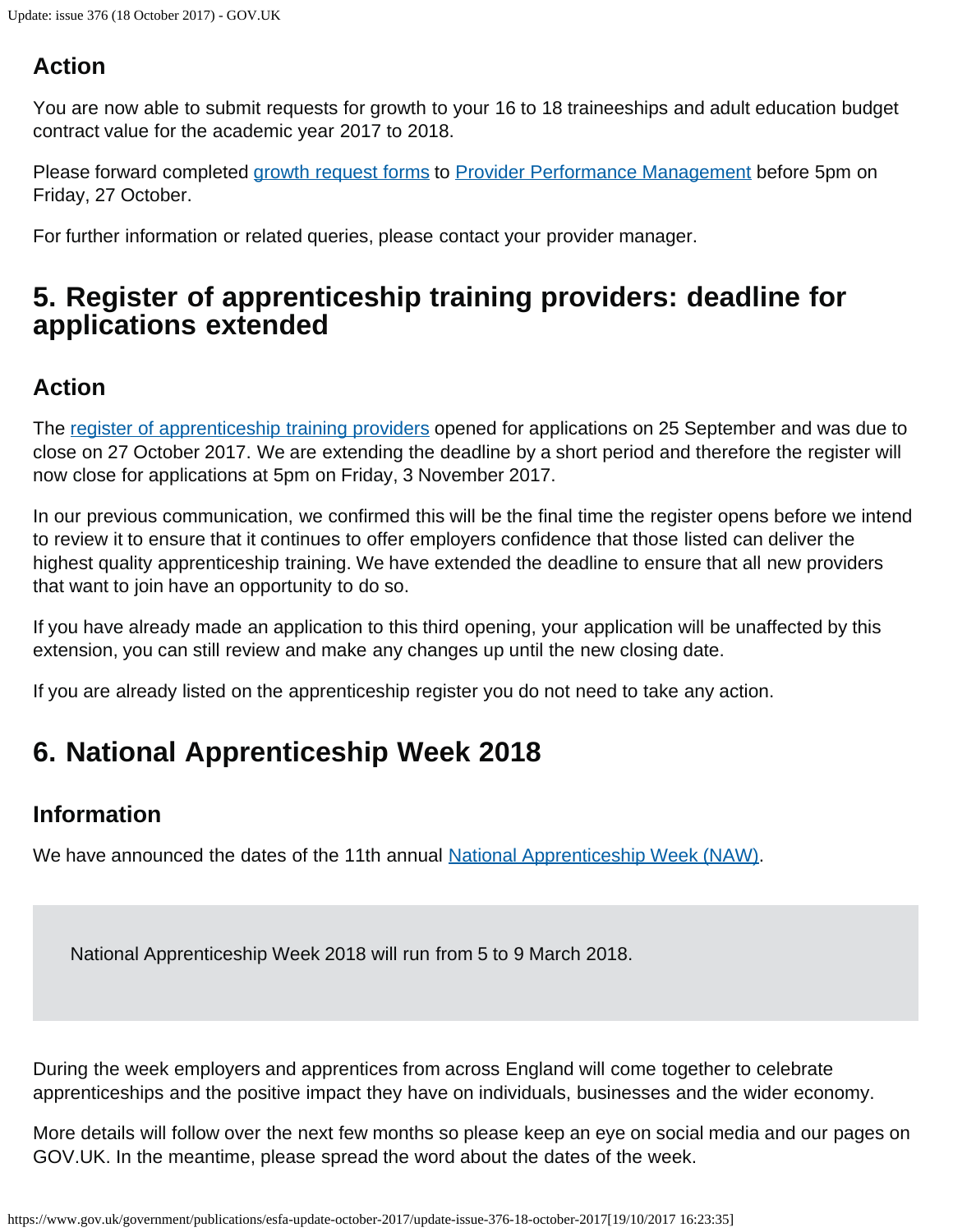## **Action**

You are now able to submit requests for growth to your 16 to 18 traineeships and adult education budget contract value for the academic year 2017 to 2018.

Please forward completed [growth request forms](https://www.gov.uk/government/publications/sfa-growth-request) to [Provider Performance Management](mailto:Provider.PerformanceManagement@education.gov.uk) before 5pm on Friday, 27 October.

For further information or related queries, please contact your provider manager.

# <span id="page-2-0"></span>**5. Register of apprenticeship training providers: deadline for applications extended**

## **Action**

The [register of apprenticeship training providers](https://www.gov.uk/guidance/register-of-apprenticeship-training-providers) opened for applications on 25 September and was due to close on 27 October 2017. We are extending the deadline by a short period and therefore the register will now close for applications at 5pm on Friday, 3 November 2017.

In our previous communication, we confirmed this will be the final time the register opens before we intend to review it to ensure that it continues to offer employers confidence that those listed can deliver the highest quality apprenticeship training. We have extended the deadline to ensure that all new providers that want to join have an opportunity to do so.

If you have already made an application to this third opening, your application will be unaffected by this extension, you can still review and make any changes up until the new closing date.

If you are already listed on the apprenticeship register you do not need to take any action.

# <span id="page-2-1"></span>**6. National Apprenticeship Week 2018**

## **Information**

We have announced the dates of the 11th annual [National Apprenticeship Week \(NAW\).](https://www.gov.uk/government/topical-events/national-apprenticeship-week-2018-naw-2018)

National Apprenticeship Week 2018 will run from 5 to 9 March 2018.

During the week employers and apprentices from across England will come together to celebrate apprenticeships and the positive impact they have on individuals, businesses and the wider economy.

More details will follow over the next few months so please keep an eye on social media and our pages on GOV.UK. In the meantime, please spread the word about the dates of the week.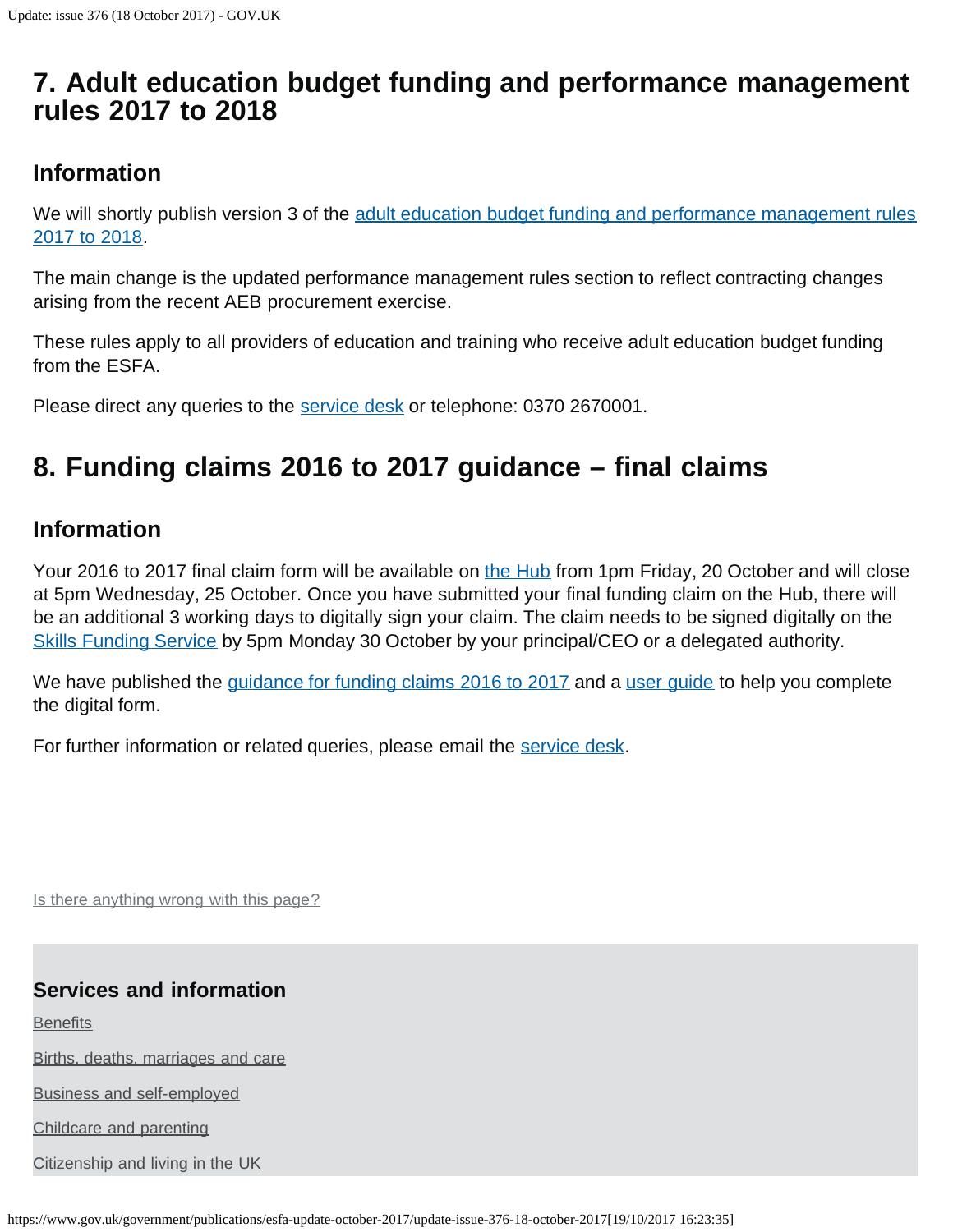# <span id="page-3-0"></span>**7. Adult education budget funding and performance management rules 2017 to 2018**

### **Information**

We will shortly publish version 3 of the [adult education budget funding and performance management rules](https://www.gov.uk/government/publications/adult-education-budget-funding-and-performance-management-rules-2017-to-2018) [2017 to 2018.](https://www.gov.uk/government/publications/adult-education-budget-funding-and-performance-management-rules-2017-to-2018)

The main change is the updated performance management rules section to reflect contracting changes arising from the recent AEB procurement exercise.

These rules apply to all providers of education and training who receive adult education budget funding from the ESFA.

Please direct any queries to the [service desk](https://www.gov.uk/government/publications/esfa-update-october-2017/servicedesk@education.gov.uk) or telephone: 0370 2670001.

# <span id="page-3-1"></span>**8. Funding claims 2016 to 2017 guidance – final claims**

### **Information**

Your 2016 to 2017 final claim form will be available on [the Hub](https://hub.fasst.org.uk/Pages/default.aspx) from 1pm Friday, 20 October and will close at 5pm Wednesday, 25 October. Once you have submitted your final funding claim on the Hub, there will be an additional 3 working days to digitally sign your claim. The claim needs to be signed digitally on the [Skills Funding Service](https://skillsfunding.service.gov.uk/) by 5pm Monday 30 October by your principal/CEO or a delegated authority.

We have published the [guidance for funding claims 2016 to 2017](https://www.gov.uk/government/publications/sfa-funding-claims/funding-claims-2016-to-2017) and a [user guide](https://www.gov.uk/government/publications/sfa-funding-claims) to help you complete the digital form.

For further information or related queries, please email the [service desk.](mailto:servicedesk@sfa.bis.gov.uk)

Is there anything wrong with this page?

#### **Services and information**

**[Benefits](https://www.gov.uk/browse/benefits)** 

[Births, deaths, marriages and care](https://www.gov.uk/browse/births-deaths-marriages)

[Business and self-employed](https://www.gov.uk/browse/business)

[Childcare and parenting](https://www.gov.uk/browse/childcare-parenting)

[Citizenship and living in the UK](https://www.gov.uk/browse/citizenship)